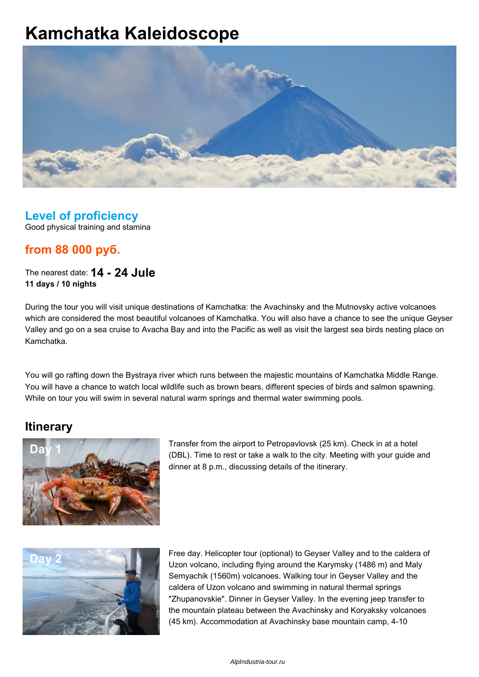# **Kamchatka Kaleidoscope**



## **Level of proficiency**

Good physical training and stamina

### **from 88 000 руб.**

The nearest date: **14 - 24 Jule 11 days / 10 nights**

During the tour you will visit unique destinations of Kamchatka: the Avachinsky and the Mutnovsky active volcanoes which are considered the most beautiful volcanoes of Kamchatka. You will also have a chance to see the unique Geyser Valley and go on a sea cruise to Avacha Bay and into the Pacific as well as visit the largest sea birds nesting place on Kamchatka.

You will go rafting down the Bystraya river which runs between the majestic mountains of Kamchatka Middle Range. You will have a chance to watch local wildlife such as brown bears, different species of birds and salmon spawning. While on tour you will swim in several natural warm springs and thermal water swimming pools.

#### **Itinerary**



Transfer from the airport to Petropavlovsk (25 km). Check in at a hotel (DBL). Time to rest or take a walk to the city. Meeting with your guide and dinner at 8 p.m., discussing details of the itinerary.



**Day 2** Free day. Helicopter tour (optional) to Geyser Valley and to the caldera of Uzon volcano, including flying around the Karymsky (1486 m) and Maly Semyachik (1560m) volcanoes. Walking tour in Geyser Valley and the caldera of Uzon volcano and swimming in natural thermal springs "Zhupanovskie". Dinner in Geyser Valley. In the evening jeep transfer to the mountain plateau between the Avachinsky and Koryaksky volcanoes (45 km). Accommodation at Avachinsky base mountain camp, 4-10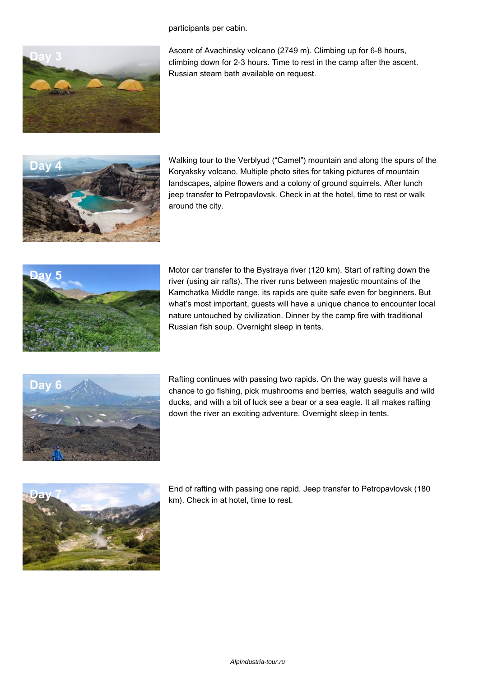participants per cabin.



Ascent of Avachinsky volcano (2749 m). Climbing up for 6-8 hours, climbing down for 2-3 hours. Time to rest in the camp after the ascent. Russian steam bath available on request.



**Day 4** Walking tour to the Verblyud ("Camel") mountain and along the spurs of the Koryaksky volcano. Multiple photo sites for taking pictures of mountain landscapes, alpine flowers and a colony of ground squirrels. After lunch jeep transfer to Petropavlovsk. Check in at the hotel, time to rest or walk around the city.



**Day 5** Motor car transfer to the Bystraya river (120 km). Start of rafting down the river (using air rafts). The river runs between majestic mountains of the Kamchatka Middle range, its rapids are quite safe even for beginners. But what's most important, guests will have a unique chance to encounter local nature untouched by civilization. Dinner by the camp fire with traditional Russian fish soup. Overnight sleep in tents.



Rafting continues with passing two rapids. On the way guests will have a chance to go fishing, pick mushrooms and berries, watch seagulls and wild ducks, and with a bit of luck see a bear or a sea eagle. It all makes rafting down the river an exciting adventure. Overnight sleep in tents.



**Day 7** End of rafting with passing one rapid. Jeep transfer to Petropavlovsk (180 km). Check in at hotel, time to rest.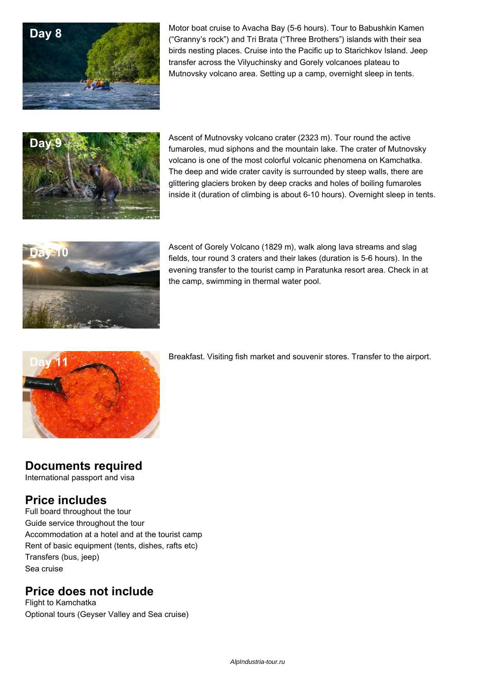

Motor boat cruise to Avacha Bay (5-6 hours). Tour to Babushkin Kamen<br>
"Cannouls and Islands ("These Prothers") islands with the income ("Granny's rock") and Tri Brata ("Three Brothers") islands with their sea birds nesting places. Cruise into the Pacific up to Starichkov Island. Jeep transfer across the Vilyuchinsky and Gorely volcanoes plateau to Mutnovsky volcano area. Setting up a camp, overnight sleep in tents.



**Day 9 Ascent of Mutnovsky volcano crater (2323 m). Tour round the active** fumaroles, mud siphons and the mountain lake. The crater of Mutnovsky volcano is one of the most colorful volcanic phenomena on Kamchatka. The deep and wide crater cavity is surrounded by steep walls, there are glittering glaciers broken by deep cracks and holes of boiling fumaroles inside it (duration of climbing is about 6-10 hours). Overnight sleep in tents.



**Day 10 Ascent of Gorely Volcano (1829 m), walk along lava streams and slag collaboration of Column 2** fields, tour round 3 craters and their lakes (duration is 5-6 hours). In the evening transfer to the tourist camp in Paratunka resort area. Check in at the camp, swimming in thermal water pool.



Breakfast. Visiting fish market and souvenir stores. Transfer to the airport.

#### **Documents required**

International passport and visa

#### **Price includes**

Full board throughout the tour Guide service throughout the tour Accommodation at a hotel and at the tourist camp Rent of basic equipment (tents, dishes, rafts etc) Transfers (bus, jeep) Sea cruise

#### **Price does not include**

Flight to Kamchatka Optional tours (Geyser Valley and Sea cruise)